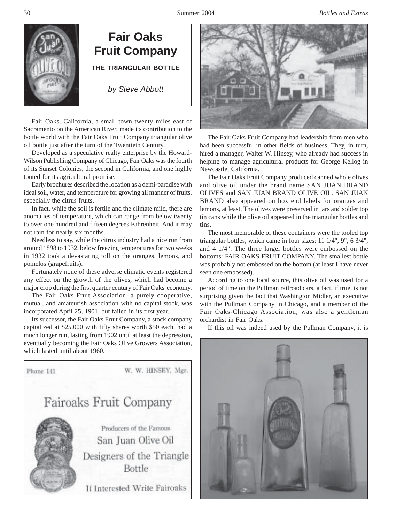

**THE TRIANGULAR BOTTLE Fair Oaks Fruit Company**

*by Steve Abbott*

Fair Oaks, California, a small town twenty miles east of Sacramento on the American River, made its contribution to the bottle world with the Fair Oaks Fruit Company triangular olive oil bottle just after the turn of the Twentieth Century.

Developed as a speculative realty enterprise by the Howard-Wilson Publishing Company of Chicago, Fair Oaks was the fourth of its Sunset Colonies, the second in California, and one highly touted for its agricultural promise.

Early brochures described the location as a demi-paradise with ideal soil, water, and temperature for growing all manner of fruits, especially the citrus fruits.

In fact, while the soil is fertile and the climate mild, there are anomalies of temperature, which can range from below twenty to over one hundred and fifteen degrees Fahrenheit. And it may not rain for nearly six months.

Needless to say, while the citrus industry had a nice run from around 1898 to 1932, below freezing temperatures for two weeks in 1932 took a devastating toll on the oranges, lemons, and pomelos (grapefruits).

Fortunately none of these adverse climatic events registered any effect on the growth of the olives, which had become a major crop during the first quarter century of Fair Oaks' economy.

The Fair Oaks Fruit Association, a purely cooperative, mutual, and amateurish association with no capital stock, was incorporated April 25, 1901, but failed in its first year.

Its successor, the Fair Oaks Fruit Company, a stock company capitalized at \$25,000 with fifty shares worth \$50 each, had a much longer run, lasting from 1902 until at least the depression, eventually becoming the Fair Oaks Olive Growers Association, which lasted until about 1960.





The Fair Oaks Fruit Company had leadership from men who had been successful in other fields of business. They, in turn, hired a manager, Walter W. Hinsey, who already had success in helping to manage agricultural products for George Kellog in Newcastle, California.

The Fair Oaks Fruit Company produced canned whole olives and olive oil under the brand name SAN JUAN BRAND OLIVES and SAN JUAN BRAND OLIVE OIL. SAN JUAN BRAND also appeared on box end labels for oranges and lemons, at least. The olives were preserved in jars and solder top tin cans while the olive oil appeared in the triangular bottles and tins.

The most memorable of these containers were the tooled top triangular bottles, which came in four sizes: 11 1/4", 9", 6 3/4", and 4 1/4". The three larger bottles were embossed on the bottoms: FAIR OAKS FRUIT COMPANY. The smallest bottle was probably not embossed on the bottom (at least I have never seen one embossed).

According to one local source, this olive oil was used for a period of time on the Pullman railroad cars, a fact, if true, is not surprising given the fact that Washington Midler, an executive with the Pullman Company in Chicago, and a member of the Fair Oaks-Chicago Association, was also a gentleman orchardist in Fair Oaks.

If this oil was indeed used by the Pullman Company, it is